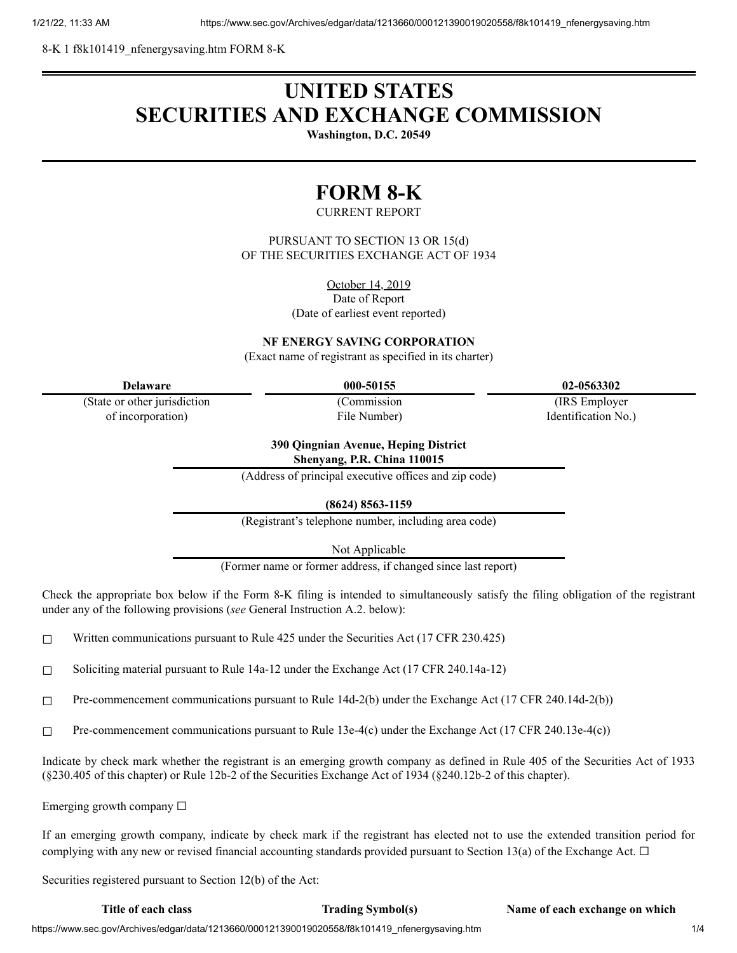8-K 1 f8k101419\_nfenergysaving.htm FORM 8-K

# **UNITED STATES SECURITIES AND EXCHANGE COMMISSION**

**Washington, D.C. 20549**

# **FORM 8-K**

# CURRENT REPORT

PURSUANT TO SECTION 13 OR 15(d) OF THE SECURITIES EXCHANGE ACT OF 1934

> October 14, 2019 Date of Report

(Date of earliest event reported)

**NF ENERGY SAVING CORPORATION**

(Exact name of registrant as specified in its charter)

| Delaware |
|----------|
|          |

(State or other jurisdiction of incorporation)

(Commission File Number)

**Delaware 000-50155 02-0563302**

(IRS Employer Identification No.)

### **390 Qingnian Avenue, Heping District Shenyang, P.R. China 110015**

(Address of principal executive offices and zip code)

**(8624) 8563-1159**

(Registrant's telephone number, including area code)

Not Applicable

(Former name or former address, if changed since last report)

Check the appropriate box below if the Form 8-K filing is intended to simultaneously satisfy the filing obligation of the registrant under any of the following provisions (*see* General Instruction A.2. below):

 $\Box$  Written communications pursuant to Rule 425 under the Securities Act (17 CFR 230.425)

☐ Soliciting material pursuant to Rule 14a-12 under the Exchange Act (17 CFR 240.14a-12)

☐ Pre-commencement communications pursuant to Rule 14d-2(b) under the Exchange Act (17 CFR 240.14d-2(b))

 $\Box$  Pre-commencement communications pursuant to Rule 13e-4(c) under the Exchange Act (17 CFR 240.13e-4(c))

Indicate by check mark whether the registrant is an emerging growth company as defined in Rule 405 of the Securities Act of 1933 (§230.405 of this chapter) or Rule 12b-2 of the Securities Exchange Act of 1934 (§240.12b-2 of this chapter).

Emerging growth company  $\Box$ 

If an emerging growth company, indicate by check mark if the registrant has elected not to use the extended transition period for complying with any new or revised financial accounting standards provided pursuant to Section 13(a) of the Exchange Act.  $\Box$ 

Securities registered pursuant to Section 12(b) of the Act:

**Title of each class Trading Symbol(s) Name of each exchange on which**

https://www.sec.gov/Archives/edgar/data/1213660/000121390019020558/f8k101419\_nfenergysaving.htm 1/4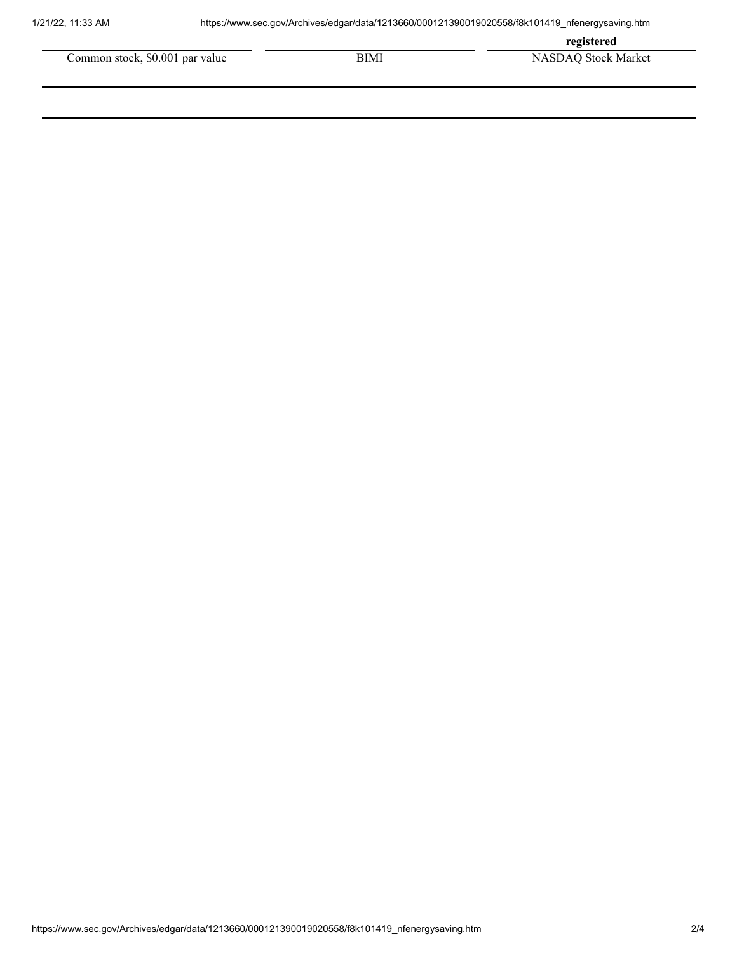**registered**

| Common stock, \$0.001 par value | BIMI | NASDAO Stock Market |
|---------------------------------|------|---------------------|
|                                 |      |                     |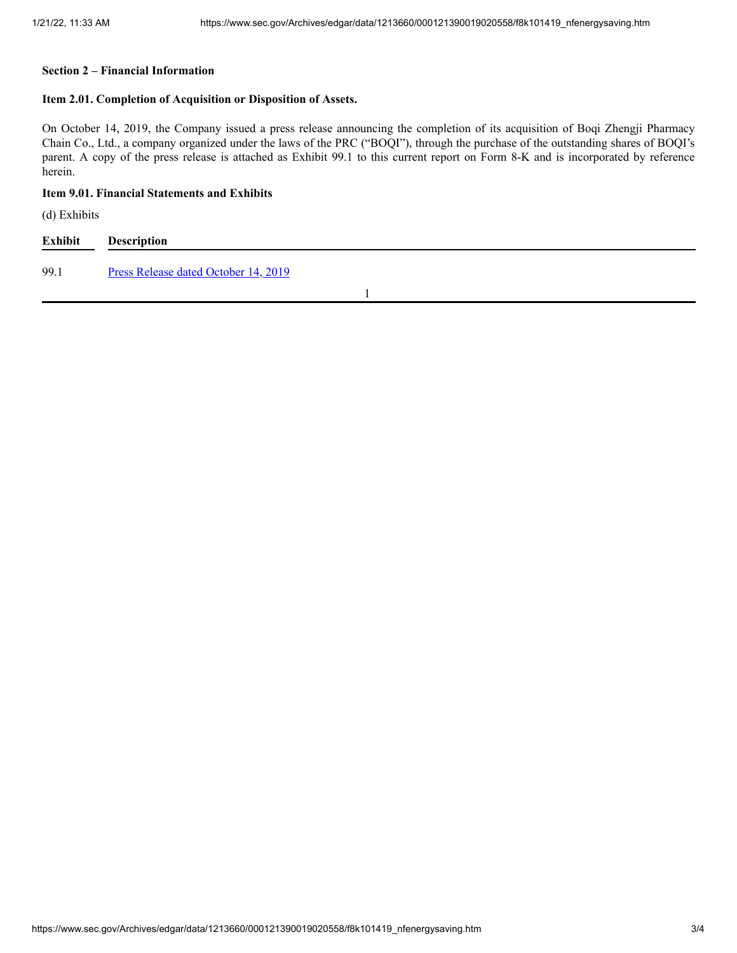## **Section 2 – Financial Information**

### **Item 2.01. Completion of Acquisition or Disposition of Assets.**

On October 14, 2019, the Company issued a press release announcing the completion of its acquisition of Boqi Zhengji Pharmacy Chain Co., Ltd., a company organized under the laws of the PRC ("BOQI"), through the purchase of the outstanding shares of BOQI's parent. A copy of the press release is attached as Exhibit 99.1 to this current report on Form 8-K and is incorporated by reference herein.

# **Item 9.01. Financial Statements and Exhibits**

(d) Exhibits

| Exhibit | <b>Description</b>                   |  |  |
|---------|--------------------------------------|--|--|
| 99.1    | Press Release dated October 14, 2019 |  |  |
|         |                                      |  |  |